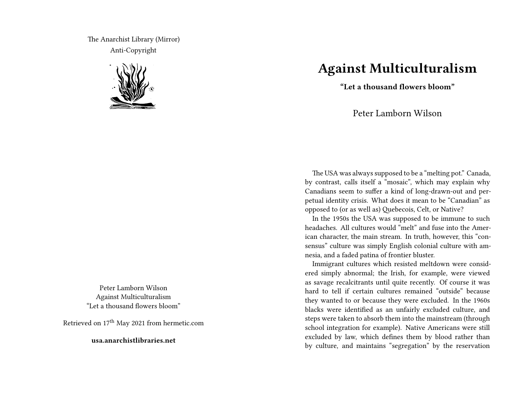The Anarchist Library (Mirror) Anti-Copyright



Peter Lamborn Wilson Against Multiculturalism "Let a thousand flowers bloom"

Retrieved on 17<sup>th</sup> May 2021 from hermetic.com

**usa.anarchistlibraries.net**

## **Against Multiculturalism**

**"Let a thousand flowers bloom"**

Peter Lamborn Wilson

The USA was always supposed to be a "melting pot." Canada, by contrast, calls itself a "mosaic", which may explain why Canadians seem to suffer a kind of long-drawn-out and perpetual identity crisis. What does it mean to be "Canadian" as opposed to (or as well as) Quebecois, Celt, or Native?

In the 1950s the USA was supposed to be immune to such headaches. All cultures would "melt" and fuse into the American character, the main stream. In truth, however, this "consensus" culture was simply English colonial culture with amnesia, and a faded patina of frontier bluster.

Immigrant cultures which resisted meltdown were considered simply abnormal; the Irish, for example, were viewed as savage recalcitrants until quite recently. Of course it was hard to tell if certain cultures remained "outside" because they wanted to or because they were excluded. In the 1960s blacks were identified as an unfairly excluded culture, and steps were taken to absorb them into the mainstream (through school integration for example). Native Americans were still excluded by law, which defines them by blood rather than by culture, and maintains "segregation" by the reservation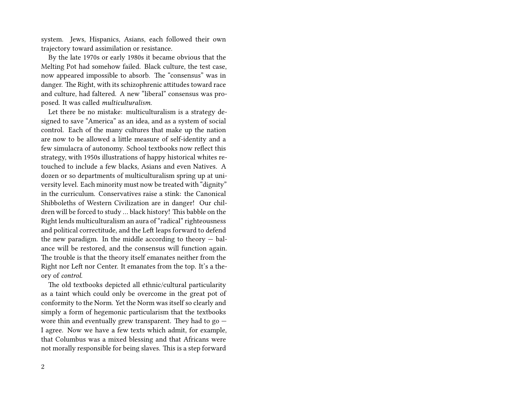system. Jews, Hispanics, Asians, each followed their own trajectory toward assimilation or resistance.

By the late 1970s or early 1980s it became obvious that the Melting Pot had somehow failed. Black culture, the test case, now appeared impossible to absorb. The "consensus" was in danger. The Right, with its schizophrenic attitudes toward race and culture, had faltered. A new "liberal" consensus was proposed. It was called *multiculturalism.*

Let there be no mistake: multiculturalism is a strategy designed to save "America" as an idea, and as a system of social control. Each of the many cultures that make up the nation are now to be allowed a little measure of self-identity and a few simulacra of autonomy. School textbooks now reflect this strategy, with 1950s illustrations of happy historical whites retouched to include a few blacks, Asians and even Natives. A dozen or so departments of multiculturalism spring up at university level. Each minority must now be treated with "dignity" in the curriculum. Conservatives raise a stink: the Canonical Shibboleths of Western Civilization are in danger! Our children will be forced to study … black history! This babble on the Right lends multiculturalism an aura of "radical" righteousness and political correctitude, and the Left leaps forward to defend the new paradigm. In the middle according to theory  $-$  balance will be restored, and the consensus will function again. The trouble is that the theory itself emanates neither from the Right nor Left nor Center. It emanates from the top. It's a theory of *control.*

The old textbooks depicted all ethnic/cultural particularity as a taint which could only be overcome in the great pot of conformity to the Norm. Yet the Norm was itself so clearly and simply a form of hegemonic particularism that the textbooks wore thin and eventually grew transparent. They had to go — I agree. Now we have a few texts which admit, for example, that Columbus was a mixed blessing and that Africans were not morally responsible for being slaves. This is a step forward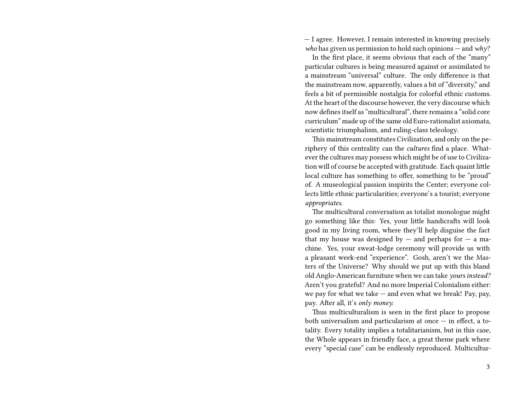— I agree. However, I remain interested in knowing precisely *who* has given us permission to hold such opinions — and *why*?

In the first place, it seems obvious that each of the "many" particular cultures is being measured against or assimilated to a mainstream "universal" culture. The only difference is that the mainstream now, apparently, values a bit of "diversity," and feels a bit of permissible nostalgia for colorful ethnic customs. At the heart of the discourse however, the very discourse which now defines itself as "multicultural", there remains a "solid core curriculum" made up of the same old Euro-rationalist axiomata, scientistic triumphalism, and ruling-class teleology.

This mainstream constitutes Civilization, and only on the periphery of this centrality can the *cultures* find a place. Whatever the cultures may possess which might be of use to Civilization will of course be accepted with gratitude. Each quaint little local culture has something to offer, something to be "proud" of. A museological passion inspirits the Center; everyone collects little ethnic particularities; everyone's a tourist; everyone *appropriates.*

The multicultural conversation as totalist monologue might go something like this: Yes, your little handicrafts will look good in my living room, where they'll help disguise the fact that my house was designed by  $-$  and perhaps for  $-$  a machine. Yes, your sweat-lodge ceremony will provide us with a pleasant week-end "experience". Gosh, aren't we the Masters of the Universe? Why should we put up with this bland old Anglo-American furniture when we can take *yours instead?* Aren't you grateful? And no more Imperial Colonialism either: we pay for what we take  $-$  and even what we break! Pay, pay, pay. After all, it's *only money.*

Thus multiculturalism is seen in the first place to propose both universalism and particularism at once  $-$  in effect, a totality. Every totality implies a totalitarianism, but in this case, the Whole appears in friendly face, a great theme park where every "special case" can be endlessly reproduced. Multicultur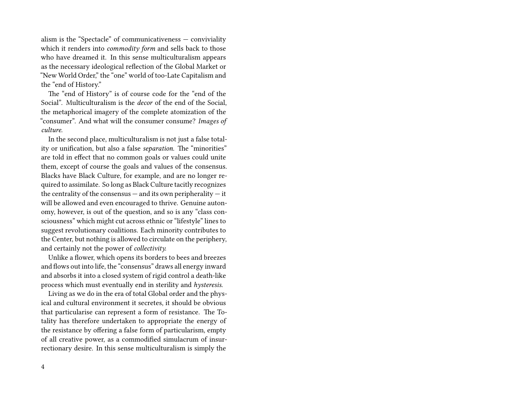alism is the "Spectacle" of communicativeness — conviviality which it renders into *commodity form* and sells back to those who have dreamed it. In this sense multiculturalism appears as the necessary ideological reflection of the Global Market or "New World Order," the "one" world of too-Late Capitalism and the "end of History."

The "end of History" is of course code for the "end of the Social". Multiculturalism is the *decor* of the end of the Social, the metaphorical imagery of the complete atomization of the "consumer". And what will the consumer consume? *Images of culture.*

In the second place, multiculturalism is not just a false totality or unification, but also a false *separation.* The "minorities" are told in effect that no common goals or values could unite them, except of course the goals and values of the consensus. Blacks have Black Culture, for example, and are no longer required to assimilate. So long as Black Culture tacitly recognizes the centrality of the consensus  $-$  and its own peripherality  $-$  it will be allowed and even encouraged to thrive. Genuine autonomy, however, is out of the question, and so is any "class consciousness" which might cut across ethnic or "lifestyle" lines to suggest revolutionary coalitions. Each minority contributes to the Center, but nothing is allowed to circulate on the periphery, and certainly not the power of *collectivity.*

Unlike a flower, which opens its borders to bees and breezes and flows out into life, the "consensus" draws all energy inward and absorbs it into a closed system of rigid control a death-like process which must eventually end in sterility and *hysteresis.*

Living as we do in the era of total Global order and the physical and cultural environment it secretes, it should be obvious that particularise can represent a form of resistance. The Totality has therefore undertaken to appropriate the energy of the resistance by offering a false form of particularism, empty of all creative power, as a commodified simulacrum of insurrectionary desire. In this sense multiculturalism is simply the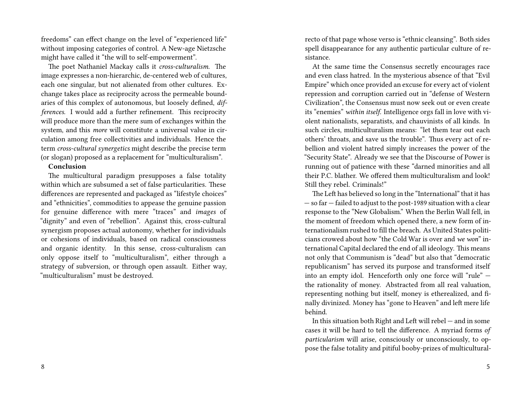freedoms" can effect change on the level of "experienced life" without imposing categories of control. A New-age Nietzsche might have called it "the will to self-empowerment".

The poet Nathaniel Mackay calls it *cross-culturalism.* The image expresses a non-hierarchic, de-centered web of cultures, each one singular, but not alienated from other cultures. Exchange takes place as reciprocity across the permeable boundaries of this complex of autonomous, but loosely defined, *differences.* I would add a further refinement. This reciprocity will produce more than the mere sum of exchanges within the system, and this *more* will constitute a universal value in circulation among free collectivities and individuals. Hence the term *cross-cultural synergetics* might describe the precise term (or slogan) proposed as a replacement for "multiculturalism".

## **Conclusion**

The multicultural paradigm presupposes a false totality within which are subsumed a set of false particularities. These differences are represented and packaged as "lifestyle choices" and "ethnicities", commodities to appease the genuine passion for genuine difference with mere "traces" and *images* of "dignity" and even of "rebellion". Against this, cross-cultural synergism proposes actual autonomy, whether for individuals or cohesions of individuals, based on radical consciousness and organic identity. In this sense, cross-culturalism can only oppose itself to "multiculturalism", either through a strategy of subversion, or through open assault. Either way, "multiculturalism" must be destroyed.

recto of that page whose verso is "ethnic cleansing". Both sides spell disappearance for any authentic particular culture of resistance.

At the same time the Consensus secretly encourages race and even class hatred. In the mysterious absence of that "Evil Empire" which once provided an excuse for every act of violent repression and corruption carried out in "defense of Western Civilization", the Consensus must now seek out or even create its "enemies" *within itself.* Intelligence orgs fall in love with violent nationalists, separatists, and chauvinists of all kinds. In such circles, multiculturalism means: "let them tear out each others' throats, and save us the trouble". Thus every act of rebellion and violent hatred simply increases the power of the "Security State". Already we see that the Discourse of Power is running out of patience with these "darned minorities and all their P.C. blather. We offered them multiculturalism and look! Still they rebel. Criminals!"

The Left has believed so long in the "International" that it has — so far — failed to adjust to the post-1989 situation with a clear response to the "New Globalism." When the Berlin Wall fell, in the moment of freedom which opened there, a new form of internationalism rushed to fill the breach. As United States politicians crowed about how "the Cold War is over and *we won*" international Capital declared the end of all ideology. This means not only that Communism is "dead" but also that "democratic republicanism" has served its purpose and transformed itself into an empty idol. Henceforth only one force will "rule" the rationality of money. Abstracted from all real valuation, representing nothing but itself, money is etherealized, and finally divinized. Money has "gone to Heaven" and left mere life behind.

In this situation both Right and Left will rebel — and in some cases it will be hard to tell the difference. A myriad forms *of particularism* will arise, consciously or unconsciously, to oppose the false totality and pitiful booby-prizes of multicultural